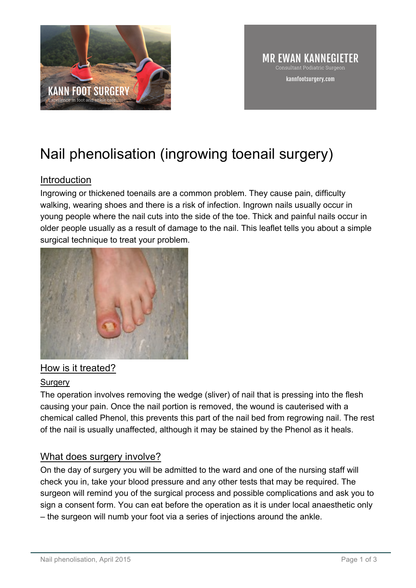

# Nail phenolisation (ingrowing toenail surgery)

## Introduction

Ingrowing or thickened toenails are a common problem. They cause pain, difficulty walking, wearing shoes and there is a risk of infection. Ingrown nails usually occur in young people where the nail cuts into the side of the toe. Thick and painful nails occur in older people usually as a result of damage to the nail. This leaflet tells you about a simple surgical technique to treat your problem.



## How is it treated?

#### Surgery

The operation involves removing the wedge (sliver) of nail that is pressing into the flesh causing your pain. Once the nail portion is removed, the wound is cauterised with a chemical called Phenol, this prevents this part of the nail bed from regrowing nail. The rest of the nail is usually unaffected, although it may be stained by the Phenol as it heals.

## What does surgery involve?

On the day of surgery you will be admitted to the ward and one of the nursing staff will check you in, take your blood pressure and any other tests that may be required. The surgeon will remind you of the surgical process and possible complications and ask you to sign a consent form. You can eat before the operation as it is under local anaesthetic only – the surgeon will numb your foot via a series of injections around the ankle.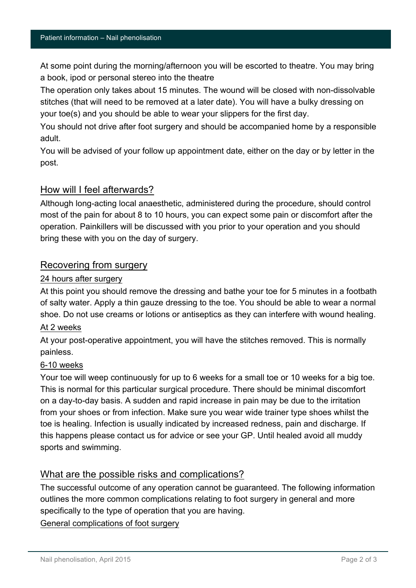At some point during the morning/afternoon you will be escorted to theatre. You may bring a book, ipod or personal stereo into the theatre

The operation only takes about 15 minutes. The wound will be closed with non-dissolvable stitches (that will need to be removed at a later date). You will have a bulky dressing on your toe(s) and you should be able to wear your slippers for the first day.

You should not drive after foot surgery and should be accompanied home by a responsible adult.

You will be advised of your follow up appointment date, either on the day or by letter in the post.

#### How will I feel afterwards?

Although long-acting local anaesthetic, administered during the procedure, should control most of the pain for about 8 to 10 hours, you can expect some pain or discomfort after the operation. Painkillers will be discussed with you prior to your operation and you should bring these with you on the day of surgery.

### Recovering from surgery

#### 24 hours after surgery

At this point you should remove the dressing and bathe your toe for 5 minutes in a footbath of salty water. Apply a thin gauze dressing to the toe. You should be able to wear a normal shoe. Do not use creams or lotions or antiseptics as they can interfere with wound healing.

#### At 2 weeks

At your post-operative appointment, you will have the stitches removed. This is normally painless.

#### 6-10 weeks

Your toe will weep continuously for up to 6 weeks for a small toe or 10 weeks for a big toe. This is normal for this particular surgical procedure. There should be minimal discomfort on a day-to-day basis. A sudden and rapid increase in pain may be due to the irritation from your shoes or from infection. Make sure you wear wide trainer type shoes whilst the toe is healing. Infection is usually indicated by increased redness, pain and discharge. If this happens please contact us for advice or see your GP. Until healed avoid all muddy sports and swimming.

## What are the possible risks and complications?

The successful outcome of any operation cannot be guaranteed. The following information outlines the more common complications relating to foot surgery in general and more specifically to the type of operation that you are having.

General complications of foot surgery